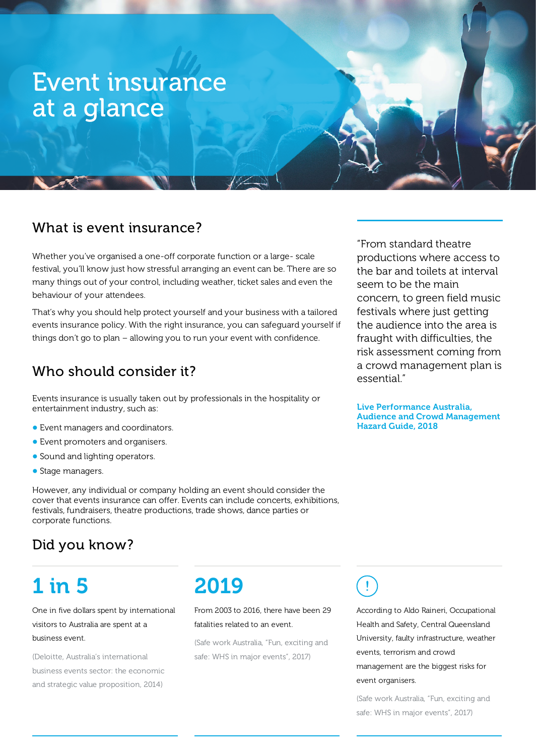# Event insurance at a glance

### What is event insurance?

Whether you've organised a one-off corporate function or a large- scale festival, you'll know just how stressful arranging an event can be. There are so many things out of your control, including weather, ticket sales and even the behaviour of your attendees.

That's why you should help protect yourself and your business with a tailored events insurance policy. With the right insurance, you can safeguard yourself if things don't go to plan – allowing you to run your event with confidence.

### Who should consider it?

Events insurance is usually taken out by professionals in the hospitality or entertainment industry, such as:

- **•** Event managers and coordinators.
- **•** Event promoters and organisers.
- **•** Sound and lighting operators.
- **•** Stage managers.

However, any individual or company holding an event should consider the cover that events insurance can offer. Events can include concerts, exhibitions, festivals, fundraisers, theatre productions, trade shows, dance parties or corporate functions.

## Did you know?

# 1 in 5

One in five dollars spent by international visitors to Australia are spent at a business event.

(Deloitte, Australia's international business events sector: the economic and strategic value proposition, 2014)

# 2019

From 2003 to 2016, there have been 29 fatalities related to an event.

(Safe work Australia, "Fun, exciting and safe: WHS in major events", 2017)

seem to be the main concern, to green field music festivals where just getting the audience into the area is fraught with difficulties, the risk assessment coming from a crowd management plan is essential."

"From standard theatre

productions where access to the bar and toilets at interval

Live Performance Australia, Audience and Crowd Management Hazard Guide, 2018

According to Aldo Raineri, Occupational Health and Safety, Central Queensland University, faulty infrastructure, weather events, terrorism and crowd management are the biggest risks for event organisers.

(Safe work Australia, "Fun, exciting and safe: WHS in major events", 2017)